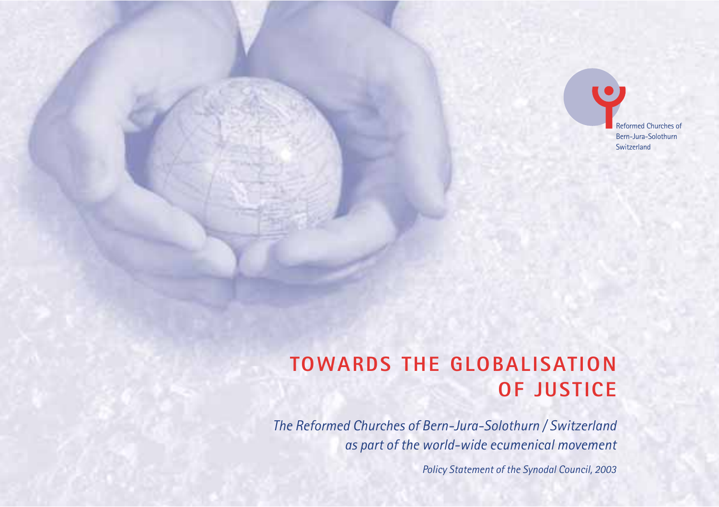

# **TOWARDS THE GLOBALISATION OF JUSTICE**

*The Reformed Churches of Bern-Jura-Solothurn / Switzerland as part of the world-wide ecumenical movement*

*Policy Statement of the Synodal Council, 2003*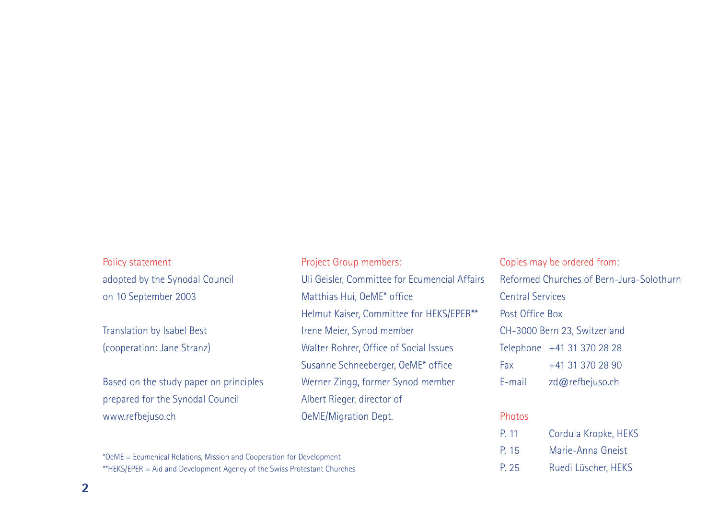Policy statement adopted by the Synodal Council on 10 September 2003

Translation by Isabel Best (cooperation: Jane Stranz)

Based on the study paper on principles prepared for the Synodal Council www.refbejuso.ch

Project Group members: Uli Geisler, Committee for Ecumencial Affairs Matthias Hui, OeME\* office Helmut Kaiser, Committee for HEKS/EPER\*\* Irene Meier, Synod member Walter Rohrer, Office of Social Issues Susanne Schneeberger, OeME\* office Werner Zingg, former Synod member Albert Rieger, director of OeME/Migration Dept.

\*OeME = Ecumenical Relations, Mission and Cooperation for Development \*\*HEKS/EPER = Aid and Development Agency of the Swiss Protestant Churches Copies may be ordered from: Reformed Churches of Bern-Jura-Solothurn Central Services Post Office Box CH-3000 Bern 23, Switzerland Telephone +41 31 370 28 28  $Fax +41 31 370 28 90$ E-mail zd@refbejuso.ch

#### Photos

| P 11 | Cordula Kropke, HEKS |
|------|----------------------|
| P 15 | Marie-Anna Gneist    |
| P 25 | Ruedi Lüscher, HEKS  |

**2**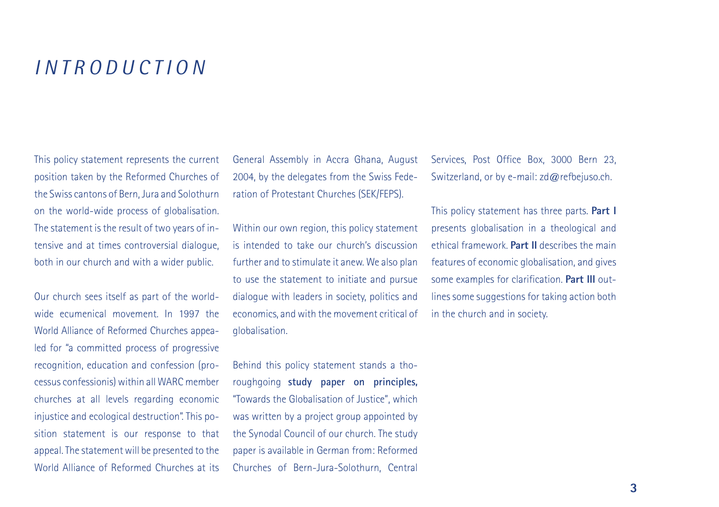## *INTRODUCTION*

This policy statement represents the current position taken by the Reformed Churches of the Swiss cantons of Bern, Jura and Solothurn on the world-wide process of globalisation. The statement is the result of two years of intensive and at times controversial dialogue, both in our church and with a wider public.

Our church sees itself as part of the worldwide ecumenical movement. In 1997 the World Alliance of Reformed Churches appealed for "a committed process of progressive recognition, education and confession (processus confessionis) within all WARC member churches at all levels regarding economic injustice and ecological destruction". This position statement is our response to that appeal. The statement will be presented to the World Alliance of Reformed Churches at its General Assembly in Accra Ghana, August 2004, by the delegates from the Swiss Federation of Protestant Churches (SEK/FEPS).

Within our own region, this policy statement is intended to take our church's discussion further and to stimulate it anew. We also plan to use the statement to initiate and pursue dialogue with leaders in society, politics and economics, and with the movement critical of globalisation.

Behind this policy statement stands a thoroughgoing **study paper on principles,** "Towards the Globalisation of Justice", which was written by a project group appointed by the Synodal Council of our church. The study paper is available in German from: Reformed Churches of Bern-Jura-Solothurn, Central Services, Post Office Box, 3000 Bern 23, Switzerland, or by e-mail: zd@refbejuso.ch.

This policy statement has three parts. **Part I** presents globalisation in a theological and ethical framework. **Part II** describes the main features of economic globalisation, and gives some examples for clarification. **Part III** outlines some suggestions for taking action both in the church and in society.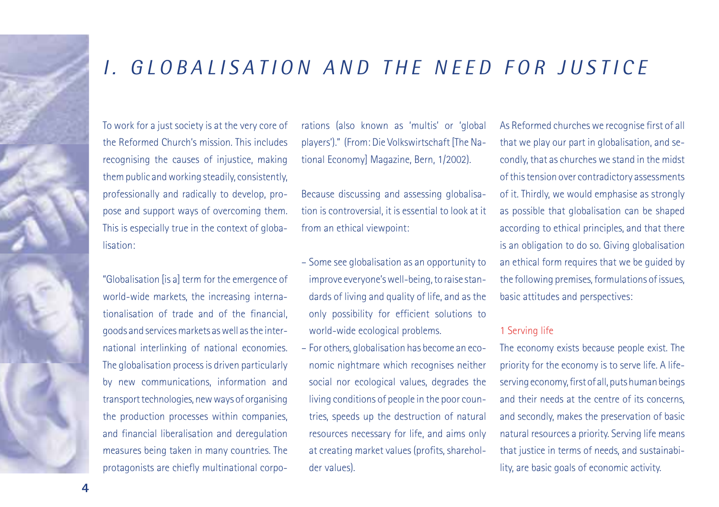

## *I. GLOBALISATION AND THE NEED FOR JUSTICE*

To work for a just society is at the very core of the Reformed Church's mission. This includes recognising the causes of injustice, making them public and working steadily, consistently, professionally and radically to develop, propose and support ways of overcoming them. This is especially true in the context of globalisation:

"Globalisation [is a] term for the emergence of world-wide markets, the increasing internationalisation of trade and of the financial, goods and services markets as well as the international interlinking of national economies. The globalisation process is driven particularly by new communications, information and transport technologies, new ways of organising the production processes within companies, and financial liberalisation and deregulation measures being taken in many countries. The protagonists are chiefly multinational corpo-

rations (also known as 'multis' or 'global players')." (From: Die Volkswirtschaft [The National Economy] Magazine, Bern, 1/2002).

Because discussing and assessing globalisation is controversial, it is essential to look at it from an ethical viewpoint:

- Some see globalisation as an opportunity to improve everyone's well-being, to raise standards of living and quality of life, and as the only possibility for efficient solutions to world-wide ecological problems.
- For others, globalisation has become an economic nightmare which recognises neither social nor ecological values, degrades the living conditions of people in the poor countries, speeds up the destruction of natural resources necessary for life, and aims only at creating market values (profits, shareholder values).

As Reformed churches we recognise first of all that we play our part in globalisation, and secondly, that as churches we stand in the midst of this tension over contradictory assessments of it. Thirdly, we would emphasise as strongly as possible that globalisation can be shaped according to ethical principles, and that there is an obligation to do so. Giving globalisation an ethical form requires that we be guided by the following premises, formulations of issues, basic attitudes and perspectives:

#### 1 Serving life

The economy exists because people exist. The priority for the economy is to serve life. A lifeserving economy, first of all, puts human beings and their needs at the centre of its concerns, and secondly, makes the preservation of basic natural resources a priority. Serving life means that justice in terms of needs, and sustainability, are basic goals of economic activity.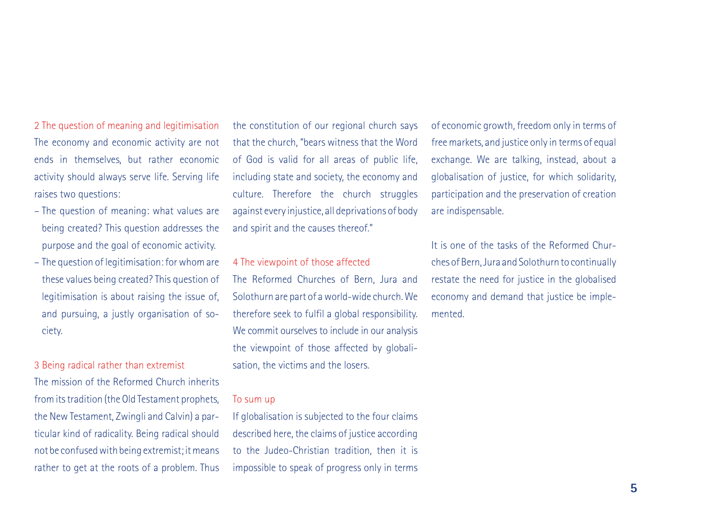2 The question of meaning and legitimisation The economy and economic activity are not ends in themselves, but rather economic activity should always serve life. Serving life raises two questions:

- The question of meaning: what values are being created? This question addresses the purpose and the goal of economic activity.
- The question of legitimisation: for whom are these values being created? This question of legitimisation is about raising the issue of, and pursuing, a justly organisation of society.

#### 3 Being radical rather than extremist

The mission of the Reformed Church inherits from its tradition (the Old Testament prophets, the New Testament, Zwingli and Calvin) a particular kind of radicality. Being radical should not be confused with being extremist; it means rather to get at the roots of a problem. Thus

the constitution of our regional church says that the church, "bears witness that the Word of God is valid for all areas of public life, including state and society, the economy and culture. Therefore the church struggles against every injustice, all deprivations of body and spirit and the causes thereof."

#### 4 The viewpoint of those affected

The Reformed Churches of Bern, Jura and Solothurn are part of a world-wide church. We therefore seek to fulfil a global responsibility. We commit ourselves to include in our analysis the viewpoint of those affected by globalisation, the victims and the losers.

#### To sum up

If globalisation is subjected to the four claims described here, the claims of justice according to the Judeo-Christian tradition, then it is impossible to speak of progress only in terms

of economic growth, freedom only in terms of free markets, and justice only in terms of equal exchange. We are talking, instead, about a globalisation of justice, for which solidarity, participation and the preservation of creation are indispensable.

It is one of the tasks of the Reformed Churches of Bern, Jura and Solothurn to continually restate the need for justice in the globalised economy and demand that justice be implemented.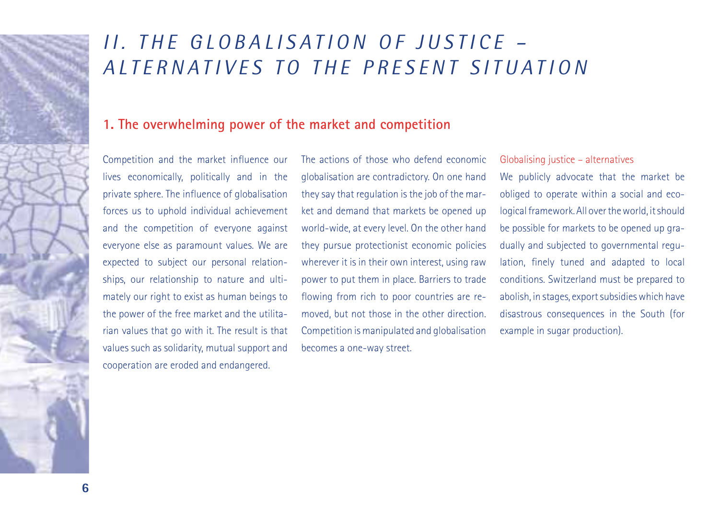# *II. THE GLOBALISATION OF JUSTICE – ALTERNATIVES TO THE PRESENT SITUATION*

## **1. The overwhelming power of the market and competition**

Competition and the market influence our lives economically, politically and in the private sphere. The influence of globalisation forces us to uphold individual achievement and the competition of everyone against everyone else as paramount values. We are expected to subject our personal relationships, our relationship to nature and ultimately our right to exist as human beings to the power of the free market and the utilitarian values that go with it. The result is that values such as solidarity, mutual support and cooperation are eroded and endangered.

The actions of those who defend economic globalisation are contradictory. On one hand they say that regulation is the job of the market and demand that markets be opened up world-wide, at every level. On the other hand they pursue protectionist economic policies wherever it is in their own interest, using raw power to put them in place. Barriers to trade flowing from rich to poor countries are removed, but not those in the other direction. Competition is manipulated and globalisation becomes a one-way street.

Globalising justice – alternatives

We publicly advocate that the market be obliged to operate within a social and ecological framework. All over the world, it should be possible for markets to be opened up gradually and subjected to governmental regulation, finely tuned and adapted to local conditions. Switzerland must be prepared to abolish, in stages, export subsidies which have disastrous consequences in the South (for example in sugar production).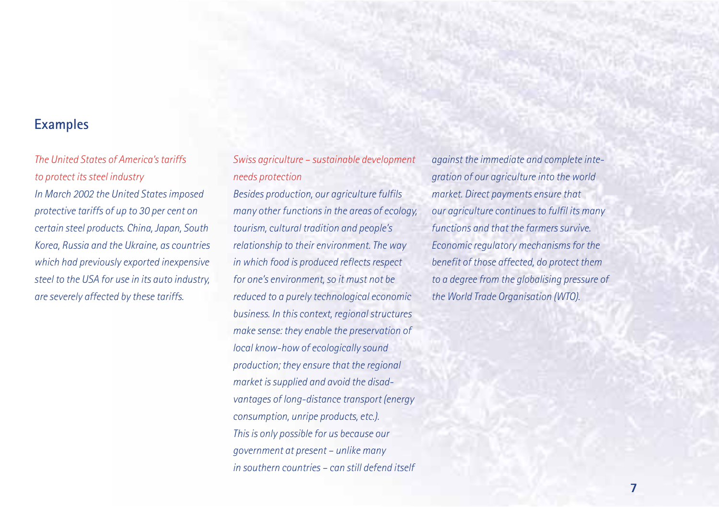*The United States of America's tariffs to protect its steel industry In March 2002 the United States imposed protective tariffs of up to 30 per cent on certain steel products. China, Japan, South Korea, Russia and the Ukraine, as countries which had previously exported inexpensive steel to the USA for use in its auto industry, are severely affected by these tariffs.*

*Swiss agriculture – sustainable development needs protection*

*Besides production, our agriculture fulfils many other functions in the areas of ecology, tourism, cultural tradition and people's relationship to their environment. The way in which food is produced reflects respect for one's environment, so it must not be reduced to a purely technological economic business. In this context, regional structures make sense: they enable the preservation of local know-how of ecologically sound production; they ensure that the regional market is supplied and avoid the disadvantages of long-distance transport (energy consumption, unripe products, etc.). This is only possible for us because our government at present – unlike many in southern countries – can still defend itself*

*against the immediate and complete integration of our agriculture into the world market. Direct payments ensure that our agriculture continues to fulfil its many functions and that the farmers survive. Economic regulatory mechanisms for the benefit of those affected, do protect them to a degree from the globalising pressure of the World Trade Organisation (WTO).*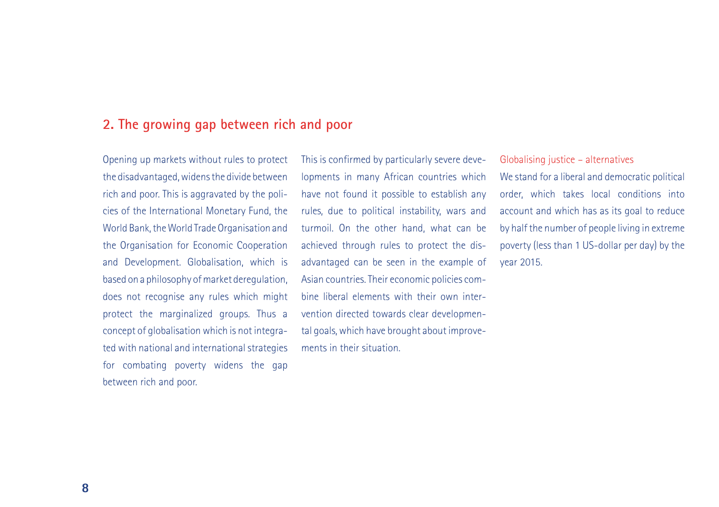## **2. The growing gap between rich and poor**

Opening up markets without rules to protect the disadvantaged, widens the divide between rich and poor. This is aggravated by the policies of the International Monetary Fund, the World Bank, the World Trade Organisation and the Organisation for Economic Cooperation and Development. Globalisation, which is based on a philosophy of market deregulation, does not recognise any rules which might protect the marginalized groups. Thus a concept of globalisation which is not integrated with national and international strategies for combating poverty widens the gap between rich and poor.

This is confirmed by particularly severe developments in many African countries which have not found it possible to establish any rules, due to political instability, wars and turmoil. On the other hand, what can be achieved through rules to protect the disadvantaged can be seen in the example of Asian countries. Their economic policies combine liberal elements with their own intervention directed towards clear developmental goals, which have brought about improvements in their situation.

Globalising justice – alternatives We stand for a liberal and democratic political

order, which takes local conditions into account and which has as its goal to reduce by half the number of people living in extreme poverty (less than 1 US-dollar per day) by the year 2015.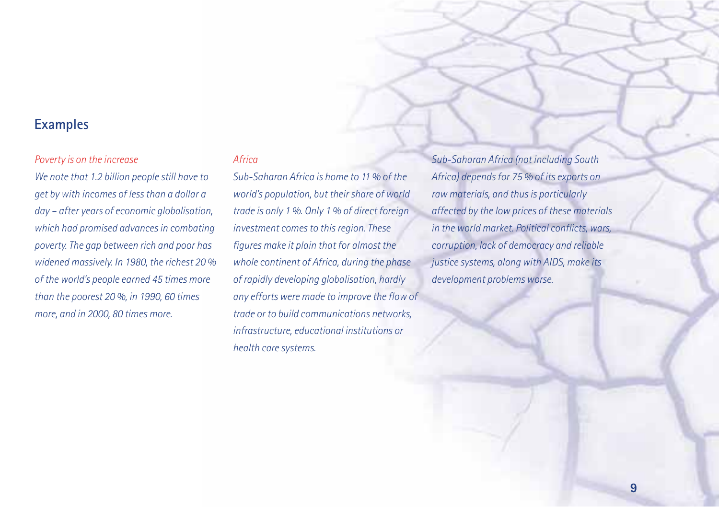#### *Poverty is on the increase*

*We note that 1.2 billion people still have to get by with incomes of less than a dollar a day – after years of economic globalisation, which had promised advances in combating poverty. The gap between rich and poor has widened massively. In 1980, the richest 20 % of the world's people earned 45 times more than the poorest 20 %, in 1990, 60 times more, and in 2000, 80 times more.*

#### *Africa*

*Sub-Saharan Africa is home to 11 % of the world's population, but their share of world trade is only 1 %. Only 1 % of direct foreign investment comes to this region. These figures make it plain that for almost the whole continent of Africa, during the phase of rapidly developing globalisation, hardly any efforts were made to improve the flow of trade or to build communications networks, infrastructure, educational institutions or health care systems.*

*Sub-Saharan Africa (not including South Africa) depends for 75 % of its exports on raw materials, and thus is particularly affected by the low prices of these materials in the world market. Political conflicts, wars, corruption, lack of democracy and reliable justice systems, along with AIDS, make its development problems worse.*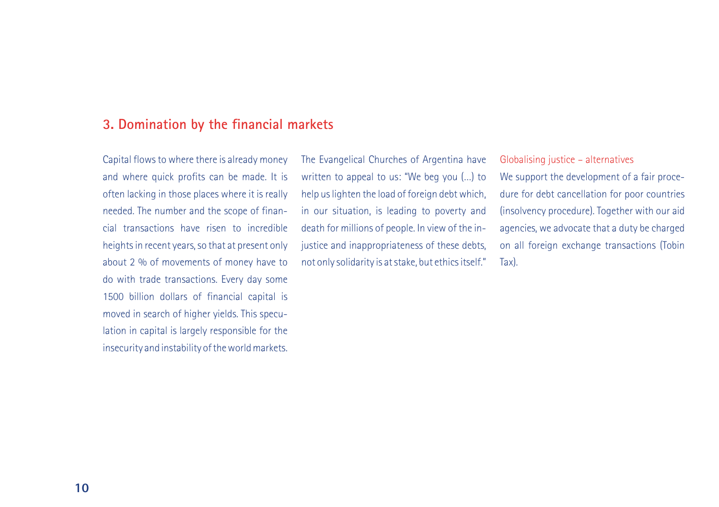## **3. Domination by the financial markets**

Capital flows to where there is already money and where quick profits can be made. It is often lacking in those places where it is really needed. The number and the scope of financial transactions have risen to incredible heights in recent years, so that at present only about 2 % of movements of money have to do with trade transactions. Every day some 1500 billion dollars of financial capital is moved in search of higher yields. This speculation in capital is largely responsible for the insecurity and instability of the world markets.

The Evangelical Churches of Argentina have written to appeal to us: "We beg you (…) to help us lighten the load of foreign debt which, in our situation, is leading to poverty and death for millions of people. In view of the injustice and inappropriateness of these debts, not only solidarity is at stake, but ethics itself."

#### Globalising justice – alternatives

We support the development of a fair procedure for debt cancellation for poor countries (insolvency procedure). Together with our aid agencies, we advocate that a duty be charged on all foreign exchange transactions (Tobin Tax).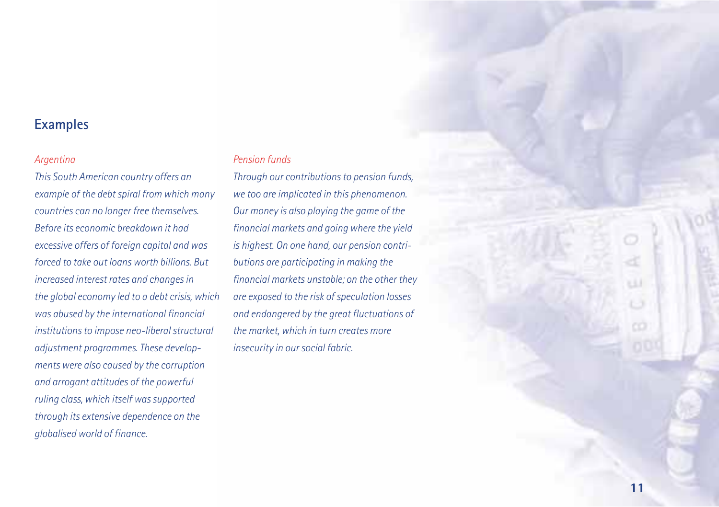#### *Argentina*

*This South American country offers an example of the debt spiral from which many countries can no longer free themselves. Before its economic breakdown it had excessive offers of foreign capital and was forced to take out loans worth billions. But increased interest rates and changes in the global economy led to a debt crisis, which was abused by the international financial institutions to impose neo-liberal structural adjustment programmes. These developments were also caused by the corruption and arrogant attitudes of the powerful ruling class, which itself was supported through its extensive dependence on the globalised world of finance.*

#### *Pension funds*

*Through our contributions to pension funds, we too are implicated in this phenomenon. Our money is also playing the game of the financial markets and going where the yield is highest. On one hand, our pension contributions are participating in making the financial markets unstable; on the other they are exposed to the risk of speculation losses and endangered by the great fluctuations of the market, which in turn creates more insecurity in our social fabric.*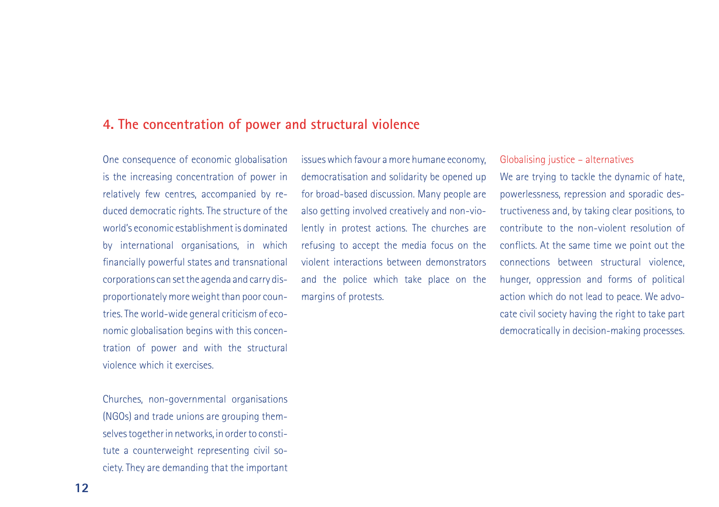## **4. The concentration of power and structural violence**

One consequence of economic globalisation is the increasing concentration of power in relatively few centres, accompanied by reduced democratic rights. The structure of the world's economic establishment is dominated by international organisations, in which financially powerful states and transnational corporations can set the agenda and carry disproportionately more weight than poor countries. The world-wide general criticism of economic globalisation begins with this concentration of power and with the structural violence which it exercises.

Churches, non-governmental organisations (NGOs) and trade unions are grouping themselves together in networks, in order to constitute a counterweight representing civil society. They are demanding that the important

issues which favour a more humane economy, democratisation and solidarity be opened up for broad-based discussion. Many people are also getting involved creatively and non-violently in protest actions. The churches are refusing to accept the media focus on the violent interactions between demonstrators and the police which take place on the margins of protests.

#### Globalising justice – alternatives

We are trying to tackle the dynamic of hate, powerlessness, repression and sporadic destructiveness and, by taking clear positions, to contribute to the non-violent resolution of conflicts. At the same time we point out the connections between structural violence, hunger, oppression and forms of political action which do not lead to peace. We advocate civil society having the right to take part democratically in decision-making processes.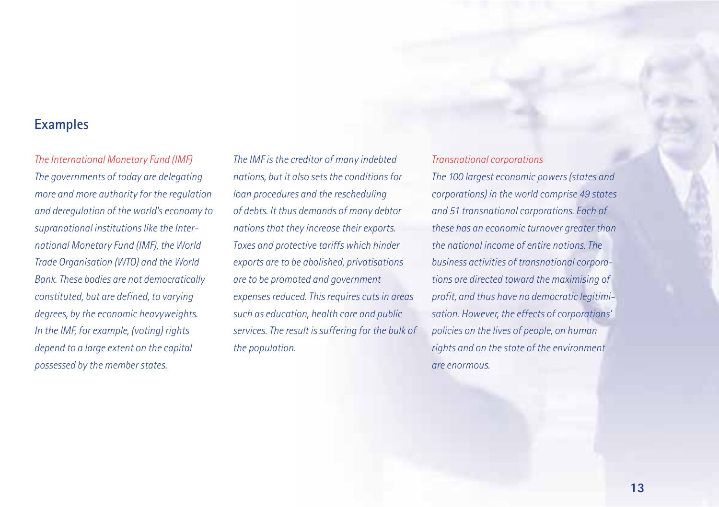*The International Monetary Fund (IMF) The governments of today are delegating more and more authority for the regulation and deregulation of the world's economy to supranational institutions like the International Monetary Fund (IMF), the World Trade Organisation (WTO) and the World Bank. These bodies are not democratically constituted, but are defined, to varying degrees, by the economic heavyweights. In the IMF, for example, (voting) rights depend to a large extent on the capital possessed by the member states.*

*The IMF is the creditor of many indebted nations, but it also sets the conditions for loan procedures and the rescheduling of debts. It thus demands of many debtor nations that they increase their exports. Taxes and protective tariffs which hinder exports are to be abolished, privatisations are to be promoted and government expenses reduced. This requires cuts in areas such as education, health care and public services. The result is suffering for the bulk of the population.*

#### *Transnational corporations*

*The 100 largest economic powers (states and corporations) in the world comprise 49 states and 51 transnational corporations. Each of these has an economic turnover greater than the national income of entire nations. The business activities of transnational corporations are directed toward the maximising of profit, and thus have no democratic legitimisation. However, the effects of corporations' policies on the lives of people, on human rights and on the state of the environment are enormous.*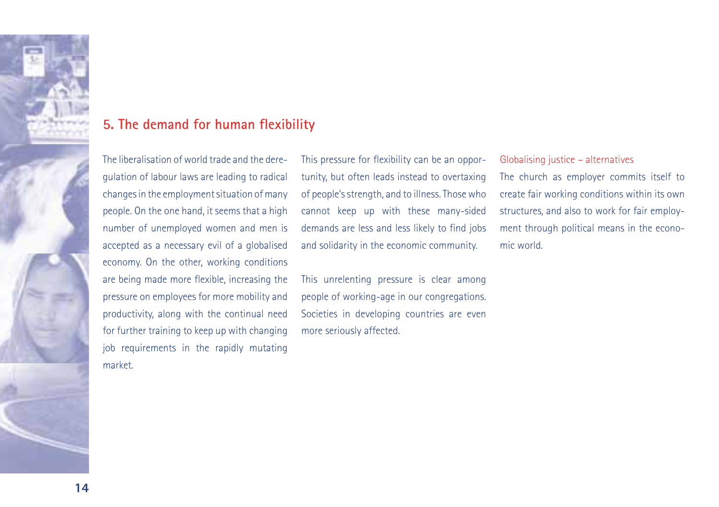

## **5. The demand for human flexibility**

The liberalisation of world trade and the deregulation of labour laws are leading to radical changes in the employment situation of many people. On the one hand, it seems that a high number of unemployed women and men is accepted as a necessary evil of a globalised economy. On the other, working conditions are being made more flexible, increasing the pressure on employees for more mobility and productivity, along with the continual need for further training to keep up with changing job requirements in the rapidly mutating market.

This pressure for flexibility can be an opportunity, but often leads instead to overtaxing of people's strength, and to illness. Those who cannot keep up with these many-sided demands are less and less likely to find jobs and solidarity in the economic community.

This unrelenting pressure is clear among people of working-age in our congregations. Societies in developing countries are even more seriously affected.

Globalising justice – alternatives

The church as employer commits itself to create fair working conditions within its own structures, and also to work for fair employment through political means in the economic world.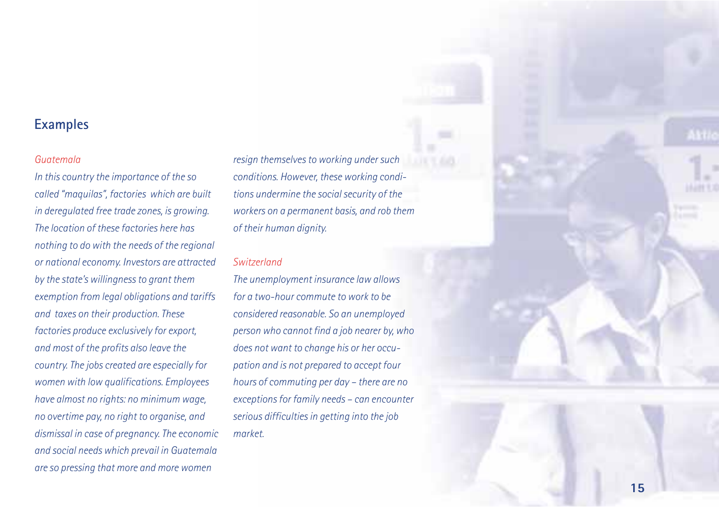#### *Guatemala*

*In this country the importance of the so called "maquilas", factories which are built in deregulated free trade zones, is growing. The location of these factories here has nothing to do with the needs of the regional or national economy. Investors are attracted by the state's willingness to grant them exemption from legal obligations and tariffs and taxes on their production. These factories produce exclusively for export, and most of the profits also leave the country. The jobs created are especially for women with low qualifications. Employees have almost no rights: no minimum wage, no overtime pay, no right to organise, and dismissal in case of pregnancy. The economic and social needs which prevail in Guatemala are so pressing that more and more women*

*resign themselves to working under such conditions. However, these working conditions undermine the social security of the workers on a permanent basis, and rob them of their human dignity.*

#### *Switzerland*

*The unemployment insurance law allows for a two-hour commute to work to be considered reasonable. So an unemployed person who cannot find a job nearer by, who does not want to change his or her occupation and is not prepared to accept four hours of commuting per day – there are no exceptions for family needs – can encounter serious difficulties in getting into the job market.*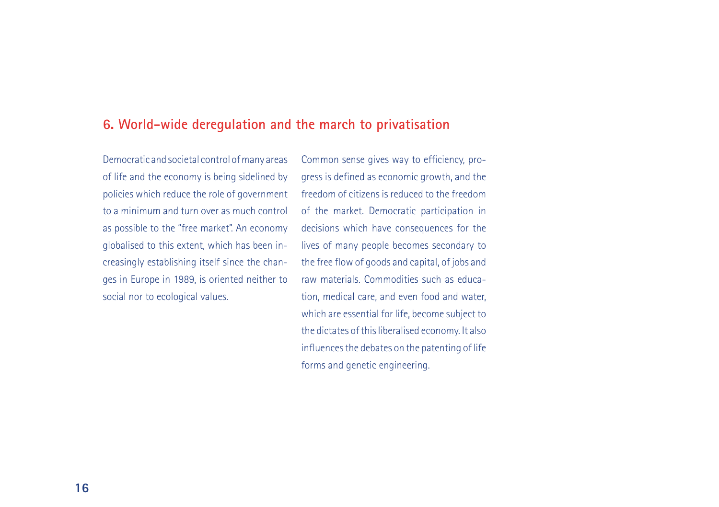## **6. World-wide deregulation and the march to privatisation**

Democratic and societal control of many areas of life and the economy is being sidelined by policies which reduce the role of government to a minimum and turn over as much control as possible to the "free market". An economy globalised to this extent, which has been increasingly establishing itself since the changes in Europe in 1989, is oriented neither to social nor to ecological values.

Common sense gives way to efficiency, progress is defined as economic growth, and the freedom of citizens is reduced to the freedom of the market. Democratic participation in decisions which have consequences for the lives of many people becomes secondary to the free flow of goods and capital, of jobs and raw materials. Commodities such as education, medical care, and even food and water, which are essential for life, become subject to the dictates of this liberalised economy. It also influences the debates on the patenting of life forms and genetic engineering.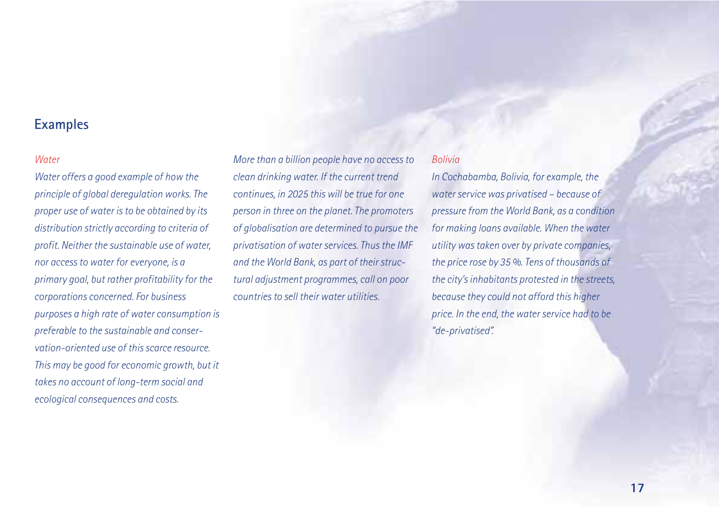#### *Water*

*Water offers a good example of how the principle of global deregulation works. The proper use of water is to be obtained by its distribution strictly according to criteria of profit. Neither the sustainable use of water, nor access to water for everyone, is a primary goal, but rather profitability for the corporations concerned. For business purposes a high rate of water consumption is preferable to the sustainable and conservation-oriented use of this scarce resource. This may be good for economic growth, but it takes no account of long-term social and ecological consequences and costs.*

*More than a billion people have no access to clean drinking water. If the current trend continues, in 2025 this will be true for one person in three on the planet. The promoters of globalisation are determined to pursue the privatisation of water services. Thus the IMF and the World Bank, as part of their structural adjustment programmes, call on poor countries to sell their water utilities.*

#### *Bolivia*

*In Cochabamba, Bolivia, for example, the water service was privatised – because of pressure from the World Bank, as a condition for making loans available. When the water utility was taken over by private companies, the price rose by 35 %. Tens of thousands of the city's inhabitants protested in the streets, because they could not afford this higher price. In the end, the water service had to be "de-privatised".*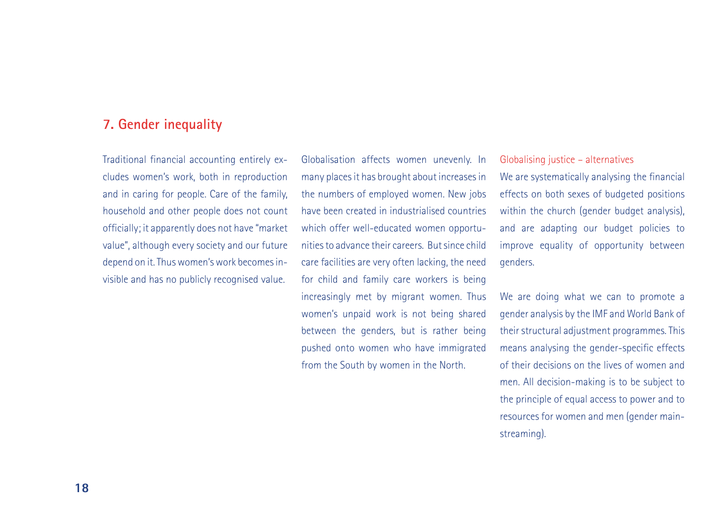## **7. Gender inequality**

Traditional financial accounting entirely excludes women's work, both in reproduction and in caring for people. Care of the family, household and other people does not count officially; it apparently does not have "market value", although every society and our future depend on it. Thus women's work becomes invisible and has no publicly recognised value.

Globalisation affects women unevenly. In many places it has brought about increases in the numbers of employed women. New jobs have been created in industrialised countries which offer well-educated women opportunities to advance their careers. But since child care facilities are very often lacking, the need for child and family care workers is being increasingly met by migrant women. Thus women's unpaid work is not being shared between the genders, but is rather being pushed onto women who have immigrated from the South by women in the North.

#### Globalising justice – alternatives

We are systematically analysing the financial effects on both sexes of budgeted positions within the church (gender budget analysis), and are adapting our budget policies to improve equality of opportunity between genders.

We are doing what we can to promote a gender analysis by the IMF and World Bank of their structural adjustment programmes. This means analysing the gender-specific effects of their decisions on the lives of women and men. All decision-making is to be subject to the principle of equal access to power and to resources for women and men (gender mainstreaming).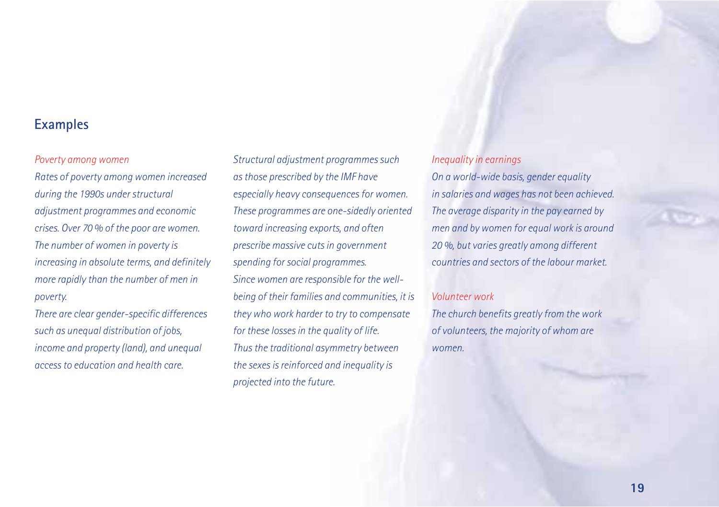#### *Poverty among women*

*Rates of poverty among women increased during the 1990s under structural adjustment programmes and economic crises. Over 70 % of the poor are women. The number of women in poverty is increasing in absolute terms, and definitely more rapidly than the number of men in poverty.* 

*There are clear gender-specific differences such as unequal distribution of jobs, income and property (land), and unequal access to education and health care.*

*Structural adjustment programmes such as those prescribed by the IMF have especially heavy consequences for women. These programmes are one-sidedly oriented toward increasing exports, and often prescribe massive cuts in government spending for social programmes. Since women are responsible for the wellbeing of their families and communities, it is they who work harder to try to compensate for these losses in the quality of life. Thus the traditional asymmetry between the sexes is reinforced and inequality is projected into the future.*

#### *Inequality in earnings*

*On a world-wide basis, gender equality in salaries and wages has not been achieved. The average disparity in the pay earned by men and by women for equal work is around 20 %, but varies greatly among different countries and sectors of the labour market.*

#### *Volunteer work*

*The church benefits greatly from the work of volunteers, the majority of whom are women.*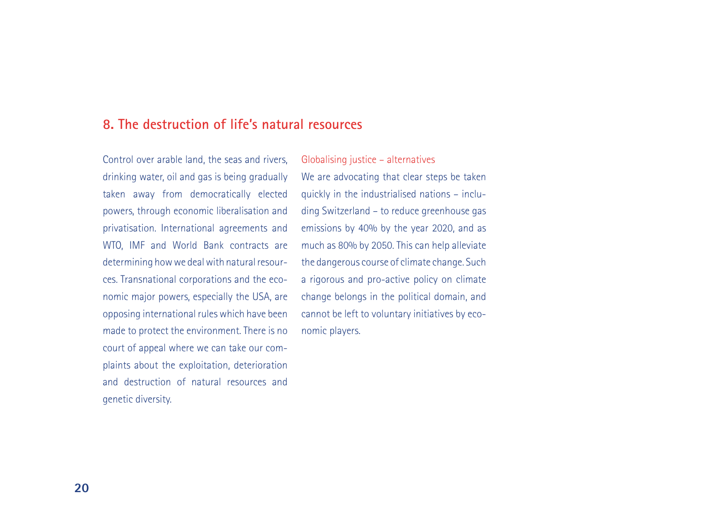## **8. The destruction of life's natural resources**

Control over arable land, the seas and rivers, drinking water, oil and gas is being gradually taken away from democratically elected powers, through economic liberalisation and privatisation. International agreements and WTO, IMF and World Bank contracts are determining how we deal with natural resources. Transnational corporations and the economic major powers, especially the USA, are opposing international rules which have been made to protect the environment. There is no court of appeal where we can take our complaints about the exploitation, deterioration and destruction of natural resources and genetic diversity.

Globalising justice – alternatives We are advocating that clear steps be taken quickly in the industrialised nations – including Switzerland – to reduce greenhouse gas emissions by 40% by the year 2020, and as much as 80% by 2050. This can help alleviate the dangerous course of climate change. Such a rigorous and pro-active policy on climate change belongs in the political domain, and cannot be left to voluntary initiatives by economic players.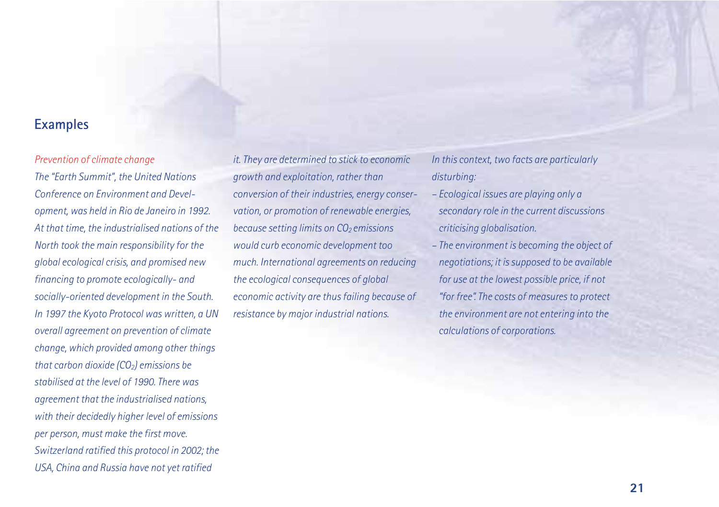#### *Prevention of climate change*

*The "Earth Summit", the United Nations Conference on Environment and Development, was held in Rio de Janeiro in 1992. At that time, the industrialised nations of the North took the main responsibility for the global ecological crisis, and promised new financing to promote ecologically- and socially-oriented development in the South. In 1997 the Kyoto Protocol was written, a UN overall agreement on prevention of climate change, which provided among other things that carbon dioxide (CO2) emissions be stabilised at the level of 1990. There was agreement that the industrialised nations, with their decidedly higher level of emissions per person, must make the first move. Switzerland ratified this protocol in 2002; the USA, China and Russia have not yet ratified*

*it. They are determined to stick to economic growth and exploitation, rather than conversion of their industries, energy conservation, or promotion of renewable energies, because setting limits on CO<sub>2</sub> emissions would curb economic development too much. International agreements on reducing the ecological consequences of global economic activity are thus failing because of resistance by major industrial nations.*

*In this context, two facts are particularly disturbing:*

- *Ecological issues are playing only a secondary role in the current discussions criticising globalisation.*
- *The environment is becoming the object of negotiations; it is supposed to be available for use at the lowest possible price, if not "for free". The costs of measures to protect the environment are not entering into the calculations of corporations.*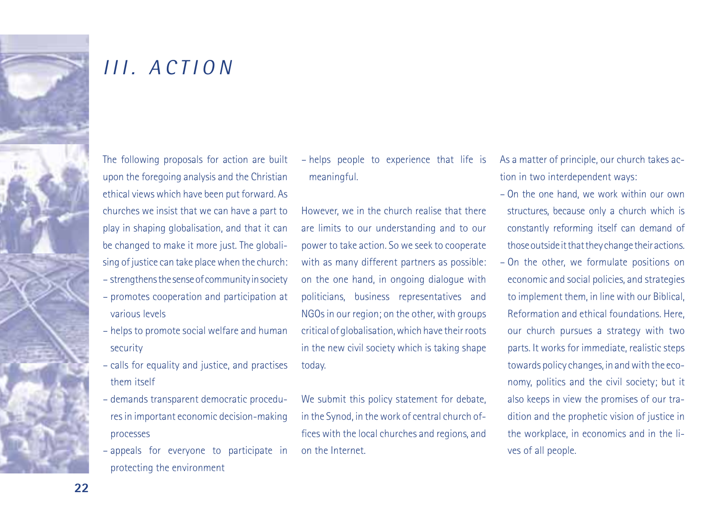

# *III. ACTION*

The following proposals for action are built upon the foregoing analysis and the Christian ethical views which have been put forward. As churches we insist that we can have a part to play in shaping globalisation, and that it can be changed to make it more just. The globalising of justice can take place when the church: – strengthens the sense of community in society

- promotes cooperation and participation at various levels
- helps to promote social welfare and human security
- calls for equality and justice, and practises them itself
- demands transparent democratic procedures in important economic decision-making processes
- appeals for everyone to participate in protecting the environment

– helps people to experience that life is meaningful.

However, we in the church realise that there are limits to our understanding and to our power to take action. So we seek to cooperate with as many different partners as possible: on the one hand, in ongoing dialogue with politicians, business representatives and NGOs in our region; on the other, with groups critical of globalisation, which have their roots in the new civil society which is taking shape today.

We submit this policy statement for debate, in the Synod, in the work of central church offices with the local churches and regions, and on the Internet.

- As a matter of principle, our church takes action in two interdependent ways:
- On the one hand, we work within our own structures, because only a church which is constantly reforming itself can demand of those outside it that they change their actions.
- On the other, we formulate positions on economic and social policies, and strategies to implement them, in line with our Biblical, Reformation and ethical foundations. Here, our church pursues a strategy with two parts. It works for immediate, realistic steps towards policy changes, in and with the economy, politics and the civil society; but it also keeps in view the promises of our tradition and the prophetic vision of justice in the workplace, in economics and in the lives of all people.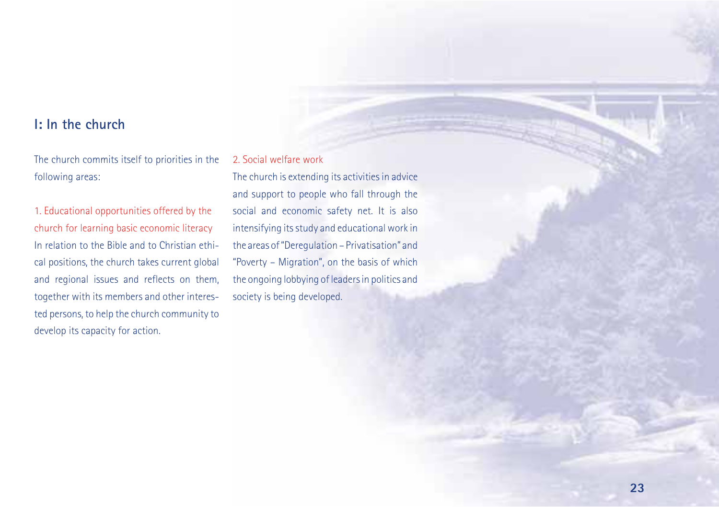## **I: In the church**

The church commits itself to priorities in the following areas:

1. Educational opportunities offered by the church for learning basic economic literacy In relation to the Bible and to Christian ethical positions, the church takes current global and regional issues and reflects on them, together with its members and other interested persons, to help the church community to develop its capacity for action.

### 2. Social welfare work

The church is extending its activities in advice and support to people who fall through the social and economic safety net. It is also intensifying its study and educational work in the areas of "Deregulation – Privatisation" and "Poverty – Migration", on the basis of which the ongoing lobbying of leaders in politics and society is being developed.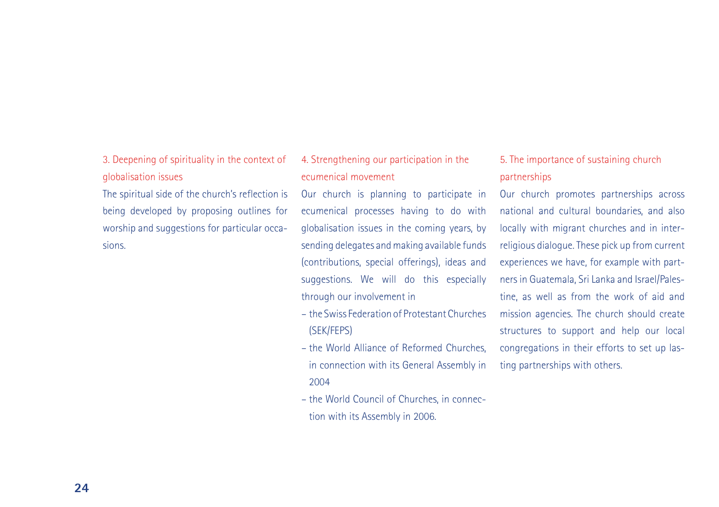3. Deepening of spirituality in the context of globalisation issues

The spiritual side of the church's reflection is being developed by proposing outlines for worship and suggestions for particular occasions.

4. Strengthening our participation in the ecumenical movement

Our church is planning to participate in ecumenical processes having to do with globalisation issues in the coming years, by sending delegates and making available funds (contributions, special offerings), ideas and suggestions. We will do this especially through our involvement in

- the Swiss Federation of Protestant Churches (SEK/FEPS)
- the World Alliance of Reformed Churches, in connection with its General Assembly in 2004
- the World Council of Churches, in connection with its Assembly in 2006.

## 5. The importance of sustaining church partnerships

Our church promotes partnerships across national and cultural boundaries, and also locally with migrant churches and in interreligious dialogue. These pick up from current experiences we have, for example with partners in Guatemala, Sri Lanka and Israel/Palestine, as well as from the work of aid and mission agencies. The church should create structures to support and help our local congregations in their efforts to set up lasting partnerships with others.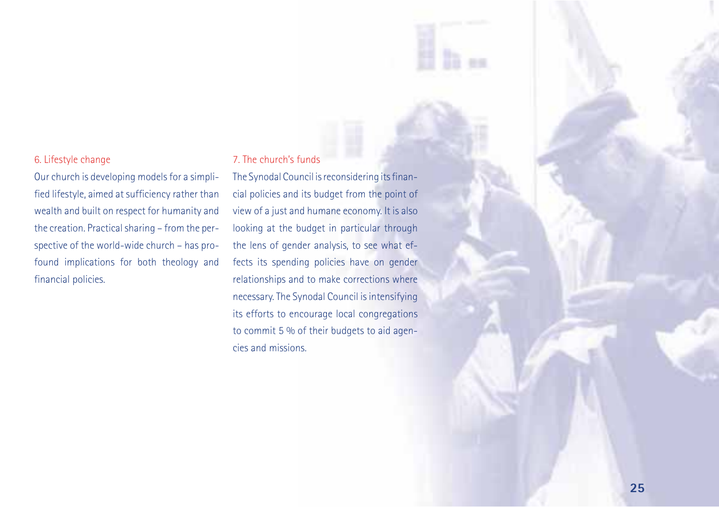#### 6. Lifestyle change

Our church is developing models for a simplified lifestyle, aimed at sufficiency rather than wealth and built on respect for humanity and the creation. Practical sharing – from the perspective of the world-wide church – has profound implications for both theology and financial policies.

#### 7. The church's funds

The Synodal Council is reconsidering its financial policies and its budget from the point of view of a just and humane economy. It is also looking at the budget in particular through the lens of gender analysis, to see what effects its spending policies have on gender relationships and to make corrections where necessary. The Synodal Council is intensifying its efforts to encourage local congregations to commit 5 % of their budgets to aid agencies and missions.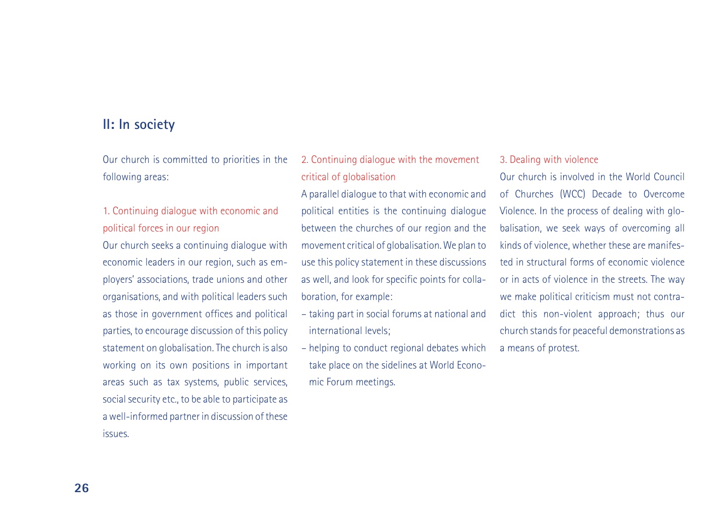## **II: In society**

Our church is committed to priorities in the following areas:

1. Continuing dialogue with economic and political forces in our region

Our church seeks a continuing dialogue with economic leaders in our region, such as employers' associations, trade unions and other organisations, and with political leaders such as those in government offices and political parties, to encourage discussion of this policy statement on globalisation. The church is also working on its own positions in important areas such as tax systems, public services, social security etc., to be able to participate as a well-informed partner in discussion of these issues.

## 2. Continuing dialogue with the movement critical of globalisation

A parallel dialogue to that with economic and political entities is the continuing dialogue between the churches of our region and the movement critical of globalisation. We plan to use this policy statement in these discussions as well, and look for specific points for collaboration, for example:

- taking part in social forums at national and international levels;
- helping to conduct regional debates which take place on the sidelines at World Economic Forum meetings.

#### 3. Dealing with violence

Our church is involved in the World Council of Churches (WCC) Decade to Overcome Violence. In the process of dealing with globalisation, we seek ways of overcoming all kinds of violence, whether these are manifested in structural forms of economic violence or in acts of violence in the streets. The way we make political criticism must not contradict this non-violent approach; thus our church stands for peaceful demonstrations as a means of protest.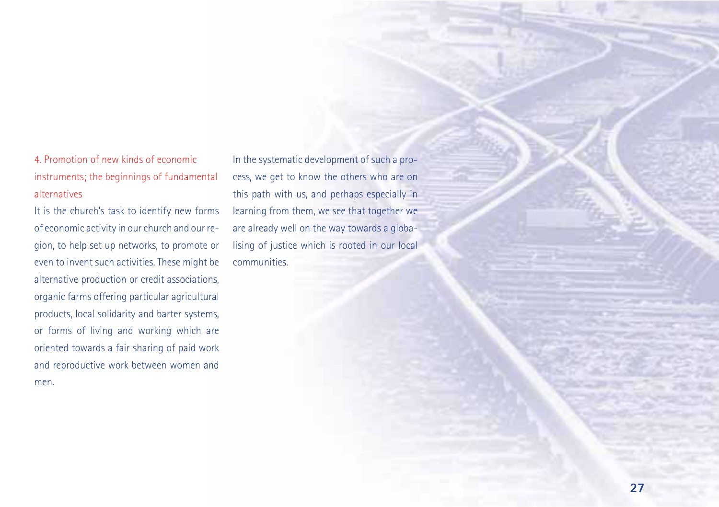4. Promotion of new kinds of economic instruments; the beginnings of fundamental alternatives

It is the church's task to identify new forms of economic activity in our church and our region, to help set up networks, to promote or even to invent such activities. These might be alternative production or credit associations, organic farms offering particular agricultural products, local solidarity and barter systems, or forms of living and working which are oriented towards a fair sharing of paid work and reproductive work between women and men.

In the systematic development of such a process, we get to know the others who are on this path with us, and perhaps especially in learning from them, we see that together we are already well on the way towards a globalising of justice which is rooted in our local communities.